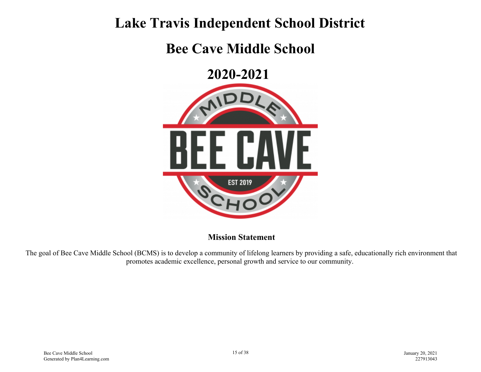## **Lake Travis Independent School District**

## **Bee Cave Middle School**

**2020-2021** 



**Mission Statement**

The goal of Bee Cave Middle School (BCMS) is to develop a community of lifelong learners by providing a safe, educationally rich environment that promotes academic excellence, personal growth and service to our community.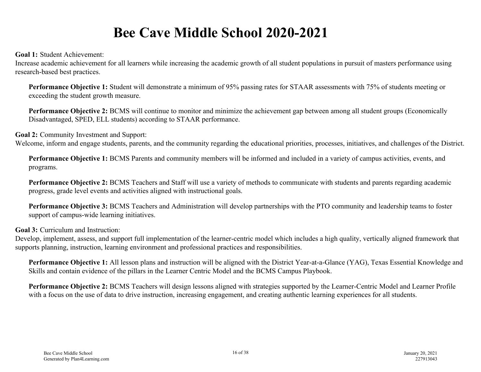## **Bee Cave Middle School 2020-2021**

**Goal 1:** Student Achievement:

Increase academic achievement for all learners while increasing the academic growth of all student populations in pursuit of masters performance using research-based best practices.

**Performance Objective 1:** Student will demonstrate a minimum of 95% passing rates for STAAR assessments with 75% of students meeting or exceeding the student growth measure.

**Performance Objective 2:** BCMS will continue to monitor and minimize the achievement gap between among all student groups (Economically Disadvantaged, SPED, ELL students) according to STAAR performance.

**Goal 2:** Community Investment and Support:

Welcome, inform and engage students, parents, and the community regarding the educational priorities, processes, initiatives, and challenges of the District.

**Performance Objective 1:** BCMS Parents and community members will be informed and included in a variety of campus activities, events, and programs.

**Performance Objective 2:** BCMS Teachers and Staff will use a variety of methods to communicate with students and parents regarding academic progress, grade level events and activities aligned with instructional goals.

**Performance Objective 3:** BCMS Teachers and Administration will develop partnerships with the PTO community and leadership teams to foster support of campus-wide learning initiatives.

**Goal 3:** Curriculum and Instruction:

Develop, implement, assess, and support full implementation of the learner-centric model which includes a high quality, vertically aligned framework that supports planning, instruction, learning environment and professional practices and responsibilities.

**Performance Objective 1:** All lesson plans and instruction will be aligned with the District Year-at-a-Glance (YAG), Texas Essential Knowledge and Skills and contain evidence of the pillars in the Learner Centric Model and the BCMS Campus Playbook.

**Performance Objective 2:** BCMS Teachers will design lessons aligned with strategies supported by the Learner-Centric Model and Learner Profile with a focus on the use of data to drive instruction, increasing engagement, and creating authentic learning experiences for all students.